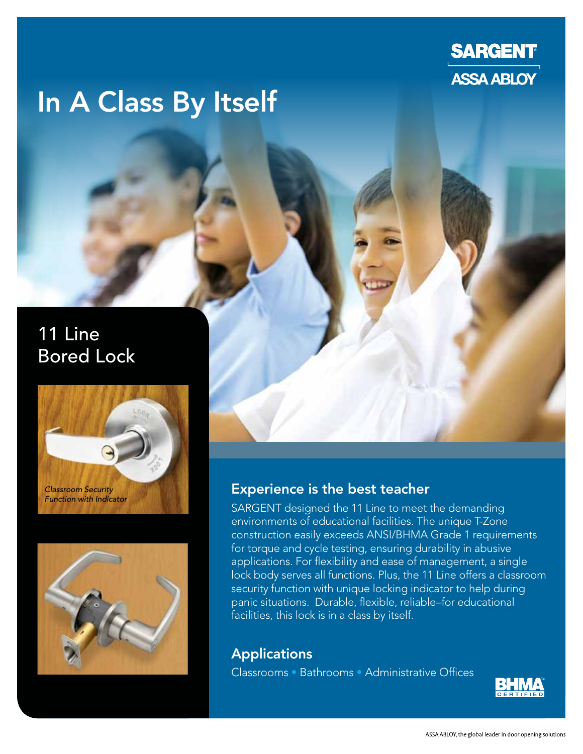

## In A Class By Itself

### 11 Line Bored Lock





#### Experience is the best teacher

SARGENT designed the 11 Line to meet the demanding environments of educational facilities. The unique T-Zone construction easily exceeds ANSI/BHMA Grade 1 requirements for torque and cycle testing, ensuring durability in abusive applications. For flexibility and ease of management, a single lock body serves all functions. Plus, the 11 Line offers a classroom security function with unique locking indicator to help during panic situations. Durable, flexible, reliable–for educational facilities, this lock is in a class by itself.

Applications

Classrooms • Bathrooms • Administrative Offices